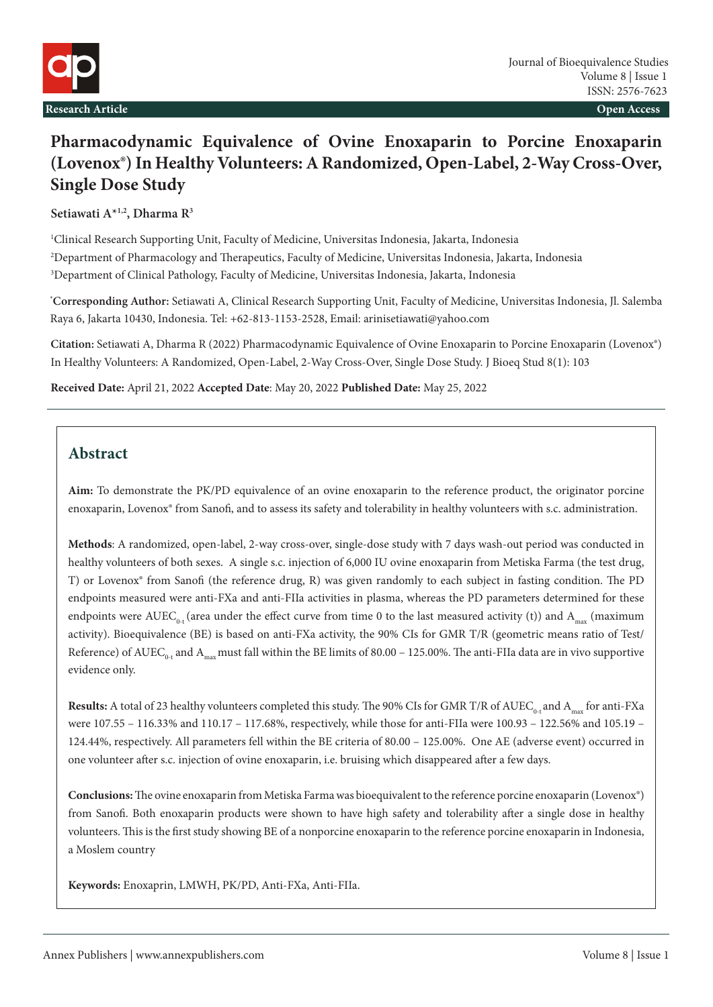

# **Pharmacodynamic Equivalence of Ovine Enoxaparin to Porcine Enoxaparin (Lovenox®) In Healthy Volunteers: A Randomized, Open-Label, 2-Way Cross-Over, Single Dose Study**

**Setiawati A\*1,2, Dharma R3**

1 Clinical Research Supporting Unit, Faculty of Medicine, Universitas Indonesia, Jakarta, Indonesia 2 Department of Pharmacology and Therapeutics, Faculty of Medicine, Universitas Indonesia, Jakarta, Indonesia 3 Department of Clinical Pathology, Faculty of Medicine, Universitas Indonesia, Jakarta, Indonesia

**\* Corresponding Author:** Setiawati A, Clinical Research Supporting Unit, Faculty of Medicine, Universitas Indonesia, Jl. Salemba Raya 6, Jakarta 10430, Indonesia. Tel: +62-813-1153-2528, Email: [arinisetiawati@yahoo.com](mailto:arinisetiawati@yahoo.com)

**Citation:** Setiawati A, Dharma R (2022) Pharmacodynamic Equivalence of Ovine Enoxaparin to Porcine Enoxaparin (Lovenox®) In Healthy Volunteers: A Randomized, Open-Label, 2-Way Cross-Over, Single Dose Study. J Bioeq Stud 8(1): 103

**Received Date:** April 21, 2022 **Accepted Date**: May 20, 2022 **Published Date:** May 25, 2022

# **Abstract**

**Aim:** To demonstrate the PK/PD equivalence of an ovine enoxaparin to the reference product, the originator porcine enoxaparin, Lovenox® from Sanofi, and to assess its safety and tolerability in healthy volunteers with s.c. administration.

**Methods**: A randomized, open-label, 2-way cross-over, single-dose study with 7 days wash-out period was conducted in healthy volunteers of both sexes. A single s.c. injection of 6,000 IU ovine enoxaparin from Metiska Farma (the test drug, T) or Lovenox® from Sanofi (the reference drug, R) was given randomly to each subject in fasting condition. The PD endpoints measured were anti-FXa and anti-FIIa activities in plasma, whereas the PD parameters determined for these endpoints were AUEC<sub>0</sub>. (area under the effect curve from time 0 to the last measured activity (t)) and  $A_{\text{max}}$  (maximum activity). Bioequivalence (BE) is based on anti-FXa activity, the 90% CIs for GMR T/R (geometric means ratio of Test/ Reference) of AUEC<sub>0-t</sub> and A<sub>max</sub> must fall within the BE limits of 80.00 – 125.00%. The anti-FIIa data are in vivo supportive evidence only.

**Results:** A total of 23 healthy volunteers completed this study. The 90% CIs for GMR T/R of AUEC<sub>0-t</sub> and A<sub>max</sub> for anti-FXa were 107.55 – 116.33% and 110.17 – 117.68%, respectively, while those for anti-FIIa were 100.93 – 122.56% and 105.19 – 124.44%, respectively. All parameters fell within the BE criteria of 80.00 – 125.00%. One AE (adverse event) occurred in one volunteer after s.c. injection of ovine enoxaparin, i.e. bruising which disappeared after a few days.

**Conclusions:** The ovine enoxaparin from Metiska Farma was bioequivalent to the reference porcine enoxaparin (Lovenox®) from Sanofi. Both enoxaparin products were shown to have high safety and tolerability after a single dose in healthy volunteers. This is the first study showing BE of a nonporcine enoxaparin to the reference porcine enoxaparin in Indonesia, a Moslem country

**Keywords:** Enoxaprin, LMWH, PK/PD, Anti-FXa, Anti-FIIa.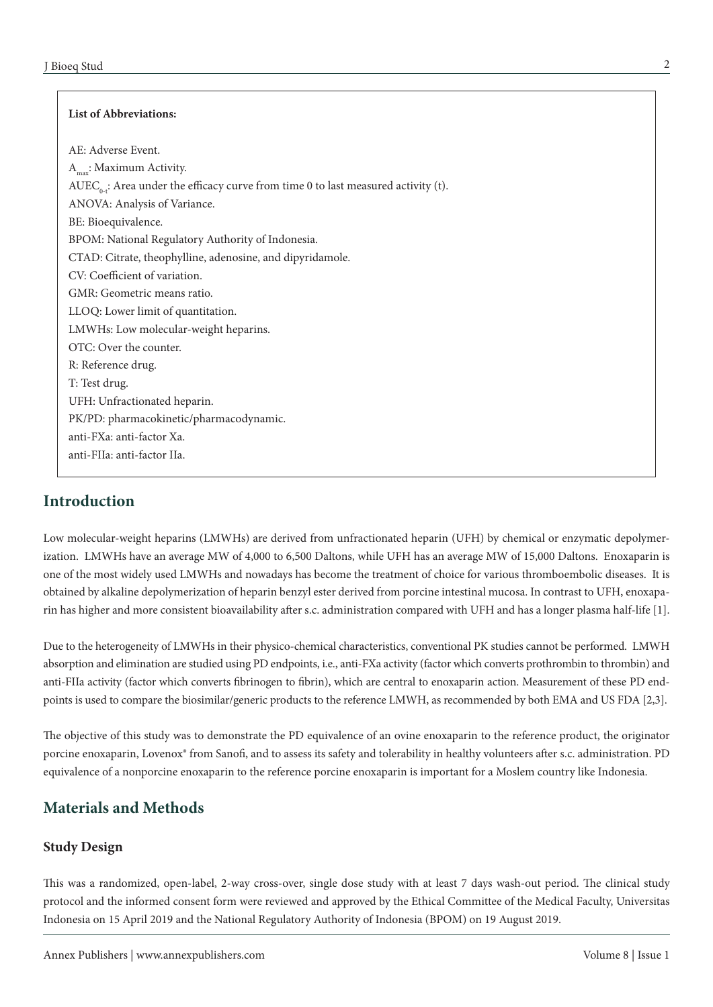#### **List of Abbreviations:**

AE: Adverse Event. Amax: Maximum Activity. AUEC<sub>0-t</sub>: Area under the efficacy curve from time 0 to last measured activity (t). ANOVA: Analysis of Variance. BE: Bioequivalence. BPOM: National Regulatory Authority of Indonesia. CTAD: Citrate, theophylline, adenosine, and dipyridamole. CV: Coefficient of variation. GMR: Geometric means ratio. LLOQ: Lower limit of quantitation. LMWHs: Low molecular-weight heparins. OTC: Over the counter. R: Reference drug. T: Test drug. UFH: Unfractionated heparin. PK/PD: pharmacokinetic/pharmacodynamic. anti-FXa: anti-factor Xa. anti-FIIa: anti-factor IIa.

### **Introduction**

Low molecular-weight heparins (LMWHs) are derived from unfractionated heparin (UFH) by chemical or enzymatic depolymerization. LMWHs have an average MW of 4,000 to 6,500 Daltons, while UFH has an average MW of 15,000 Daltons. Enoxaparin is one of the most widely used LMWHs and nowadays has become the treatment of choice for various thromboembolic diseases. It is obtained by alkaline depolymerization of heparin benzyl ester derived from porcine intestinal mucosa. In contrast to UFH, enoxaparin has higher and more consistent bioavailability after s.c. administration compared with UFH and has a longer plasma half-life [1].

Due to the heterogeneity of LMWHs in their physico-chemical characteristics, conventional PK studies cannot be performed. LMWH absorption and elimination are studied using PD endpoints, i.e., anti-FXa activity (factor which converts prothrombin to thrombin) and anti-FIIa activity (factor which converts fibrinogen to fibrin), which are central to enoxaparin action. Measurement of these PD endpoints is used to compare the biosimilar/generic products to the reference LMWH, as recommended by both EMA and US FDA [2,3].

The objective of this study was to demonstrate the PD equivalence of an ovine enoxaparin to the reference product, the originator porcine enoxaparin, Lovenox® from Sanofi, and to assess its safety and tolerability in healthy volunteers after s.c. administration. PD equivalence of a nonporcine enoxaparin to the reference porcine enoxaparin is important for a Moslem country like Indonesia.

# **Materials and Methods**

#### **Study Design**

This was a randomized, open-label, 2-way cross-over, single dose study with at least 7 days wash-out period. The clinical study protocol and the informed consent form were reviewed and approved by the Ethical Committee of the Medical Faculty, Universitas Indonesia on 15 April 2019 and the National Regulatory Authority of Indonesia (BPOM) on 19 August 2019.

2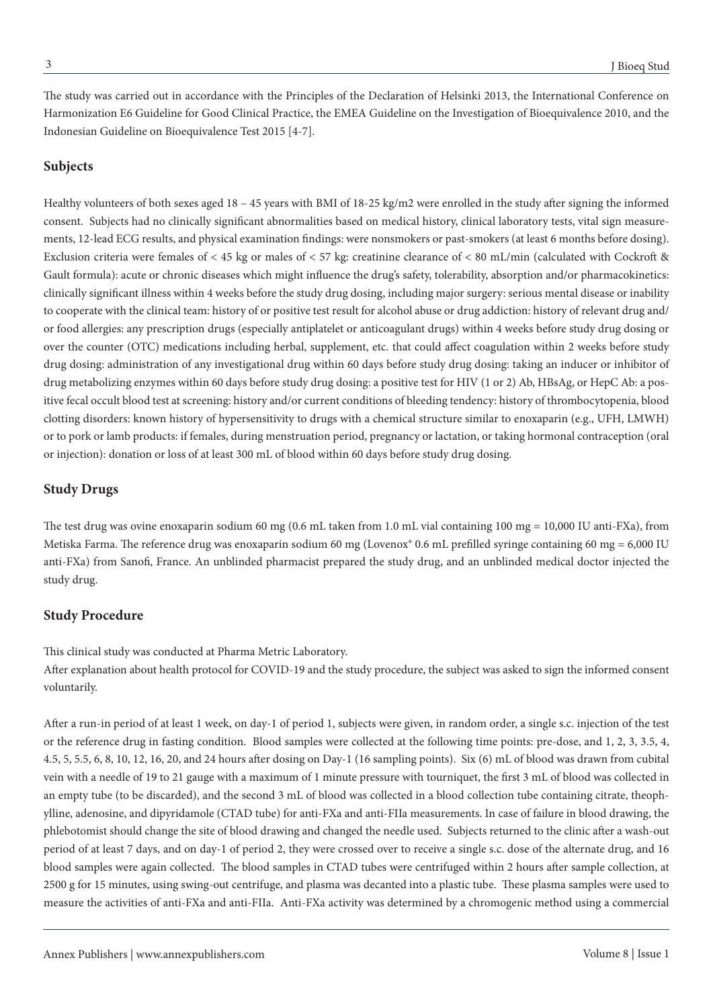The study was carried out in accordance with the Principles of the Declaration of Helsinki 2013, the International Conference on Harmonization E6 Guideline for Good Clinical Practice, the EMEA Guideline on the Investigation of Bioequivalence 2010, and the Indonesian Guideline on Bioequivalence Test 2015 [4-7].

#### **Subjects**

Healthy volunteers of both sexes aged 18 – 45 years with BMI of 18-25 kg/m2 were enrolled in the study after signing the informed consent. Subjects had no clinically significant abnormalities based on medical history, clinical laboratory tests, vital sign measurements, 12-lead ECG results, and physical examination findings: were nonsmokers or past-smokers (at least 6 months before dosing). Exclusion criteria were females of < 45 kg or males of < 57 kg: creatinine clearance of < 80 mL/min (calculated with Cockroft & Gault formula): acute or chronic diseases which might influence the drug's safety, tolerability, absorption and/or pharmacokinetics: clinically significant illness within 4 weeks before the study drug dosing, including major surgery: serious mental disease or inability to cooperate with the clinical team: history of or positive test result for alcohol abuse or drug addiction: history of relevant drug and/ or food allergies: any prescription drugs (especially antiplatelet or anticoagulant drugs) within 4 weeks before study drug dosing or over the counter (OTC) medications including herbal, supplement, etc. that could affect coagulation within 2 weeks before study drug dosing: administration of any investigational drug within 60 days before study drug dosing: taking an inducer or inhibitor of drug metabolizing enzymes within 60 days before study drug dosing: a positive test for HIV (1 or 2) Ab, HBsAg, or HepC Ab: a positive fecal occult blood test at screening: history and/or current conditions of bleeding tendency: history of thrombocytopenia, blood clotting disorders: known history of hypersensitivity to drugs with a chemical structure similar to enoxaparin (e.g., UFH, LMWH) or to pork or lamb products: if females, during menstruation period, pregnancy or lactation, or taking hormonal contraception (oral or injection): donation or loss of at least 300 mL of blood within 60 days before study drug dosing.

#### **Study Drugs**

The test drug was ovine enoxaparin sodium 60 mg (0.6 mL taken from 1.0 mL vial containing 100 mg = 10,000 IU anti-FXa), from Metiska Farma. The reference drug was enoxaparin sodium 60 mg (Lovenox® 0.6 mL prefilled syringe containing 60 mg = 6,000 IU anti-FXa) from Sanofi, France. An unblinded pharmacist prepared the study drug, and an unblinded medical doctor injected the study drug.

#### **Study Procedure**

This clinical study was conducted at Pharma Metric Laboratory. After explanation about health protocol for COVID-19 and the study procedure, the subject was asked to sign the informed consent voluntarily.

After a run-in period of at least 1 week, on day-1 of period 1, subjects were given, in random order, a single s.c. injection of the test or the reference drug in fasting condition. Blood samples were collected at the following time points: pre-dose, and 1, 2, 3, 3.5, 4, 4.5, 5, 5.5, 6, 8, 10, 12, 16, 20, and 24 hours after dosing on Day-1 (16 sampling points). Six (6) mL of blood was drawn from cubital vein with a needle of 19 to 21 gauge with a maximum of 1 minute pressure with tourniquet, the first 3 mL of blood was collected in an empty tube (to be discarded), and the second 3 mL of blood was collected in a blood collection tube containing citrate, theophylline, adenosine, and dipyridamole (CTAD tube) for anti-FXa and anti-FIIa measurements. In case of failure in blood drawing, the phlebotomist should change the site of blood drawing and changed the needle used. Subjects returned to the clinic after a wash-out period of at least 7 days, and on day-1 of period 2, they were crossed over to receive a single s.c. dose of the alternate drug, and 16 blood samples were again collected. The blood samples in CTAD tubes were centrifuged within 2 hours after sample collection, at 2500 g for 15 minutes, using swing-out centrifuge, and plasma was decanted into a plastic tube. These plasma samples were used to measure the activities of anti-FXa and anti-FIIa. Anti-FXa activity was determined by a chromogenic method using a commercial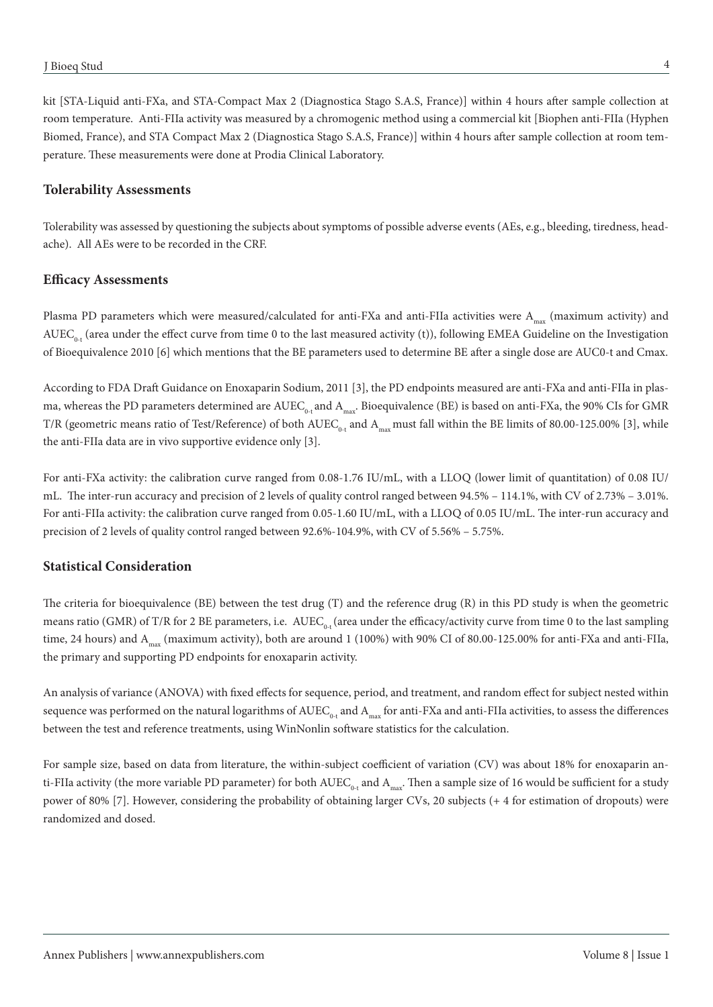kit [STA-Liquid anti-FXa, and STA-Compact Max 2 (Diagnostica Stago S.A.S, France)] within 4 hours after sample collection at room temperature. Anti-FIIa activity was measured by a chromogenic method using a commercial kit [Biophen anti-FIIa (Hyphen Biomed, France), and STA Compact Max 2 (Diagnostica Stago S.A.S, France)] within 4 hours after sample collection at room temperature. These measurements were done at Prodia Clinical Laboratory.

#### **Tolerability Assessments**

Tolerability was assessed by questioning the subjects about symptoms of possible adverse events (AEs, e.g., bleeding, tiredness, headache). All AEs were to be recorded in the CRF.

#### **Efficacy Assessments**

Plasma PD parameters which were measured/calculated for anti-FXa and anti-FIIa activities were  $A_{max}$  (maximum activity) and  $AUEC_{0+}$  (area under the effect curve from time 0 to the last measured activity (t)), following EMEA Guideline on the Investigation of Bioequivalence 2010 [6] which mentions that the BE parameters used to determine BE after a single dose are AUC0-t and Cmax.

According to FDA Draft Guidance on Enoxaparin Sodium, 2011 [3], the PD endpoints measured are anti-FXa and anti-FIIa in plasma, whereas the PD parameters determined are  $AUEC_{0.1}$  and  $A_{max}$ . Bioequivalence (BE) is based on anti-FXa, the 90% CIs for GMR T/R (geometric means ratio of Test/Reference) of both  $AUEC_{0-t}$  and  $A_{max}$  must fall within the BE limits of 80.00-125.00% [3], while the anti-FIIa data are in vivo supportive evidence only [3].

For anti-FXa activity: the calibration curve ranged from 0.08-1.76 IU/mL, with a LLOQ (lower limit of quantitation) of 0.08 IU/ mL. The inter-run accuracy and precision of 2 levels of quality control ranged between 94.5% – 114.1%, with CV of 2.73% – 3.01%. For anti-FIIa activity: the calibration curve ranged from 0.05-1.60 IU/mL, with a LLOQ of 0.05 IU/mL. The inter-run accuracy and precision of 2 levels of quality control ranged between 92.6%-104.9%, with CV of 5.56% – 5.75%.

#### **Statistical Consideration**

The criteria for bioequivalence (BE) between the test drug (T) and the reference drug (R) in this PD study is when the geometric means ratio (GMR) of T/R for 2 BE parameters, i.e.  $AUEC_{0}$ . (area under the efficacy/activity curve from time 0 to the last sampling time, 24 hours) and  $A_{max}$  (maximum activity), both are around 1 (100%) with 90% CI of 80.00-125.00% for anti-FXa and anti-FIIa, the primary and supporting PD endpoints for enoxaparin activity.

An analysis of variance (ANOVA) with fixed effects for sequence, period, and treatment, and random effect for subject nested within sequence was performed on the natural logarithms of  $\text{AUEC}_{0\text{-}t}$  and  $\text{A}_{\text{max}}$  for anti-FXa and anti-FIIa activities, to assess the differences between the test and reference treatments, using WinNonlin software statistics for the calculation.

For sample size, based on data from literature, the within-subject coefficient of variation (CV) was about 18% for enoxaparin anti-FIIa activity (the more variable PD parameter) for both  $AUEC_{0,t}$  and  $A_{max}$ . Then a sample size of 16 would be sufficient for a study power of 80% [7]. However, considering the probability of obtaining larger CVs, 20 subjects (+ 4 for estimation of dropouts) were randomized and dosed.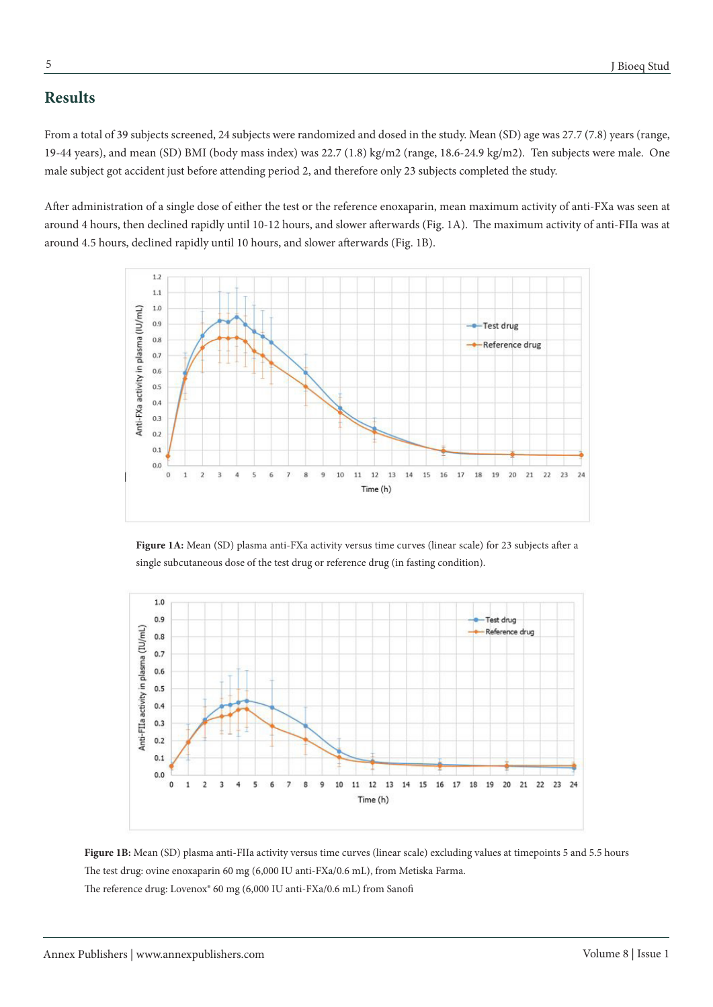# **Results**

From a total of 39 subjects screened, 24 subjects were randomized and dosed in the study. Mean (SD) age was 27.7 (7.8) years (range, 19-44 years), and mean (SD) BMI (body mass index) was 22.7 (1.8) kg/m2 (range, 18.6-24.9 kg/m2). Ten subjects were male. One male subject got accident just before attending period 2, and therefore only 23 subjects completed the study.

After administration of a single dose of either the test or the reference enoxaparin, mean maximum activity of anti-FXa was seen at around 4 hours, then declined rapidly until 10-12 hours, and slower afterwards (Fig. 1A). The maximum activity of anti-FIIa was at around 4.5 hours, declined rapidly until 10 hours, and slower afterwards (Fig. 1B).



**Figure 1A:** Mean (SD) plasma anti-FXa activity versus time curves (linear scale) for 23 subjects after a single subcutaneous dose of the test drug or reference drug (in fasting condition).



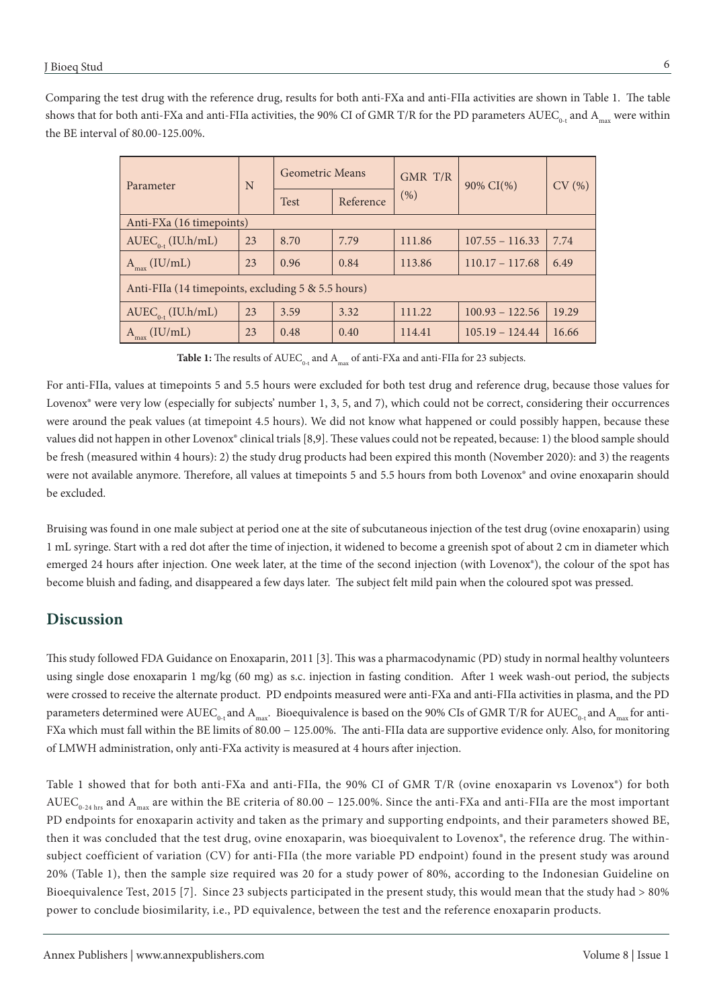Comparing the test drug with the reference drug, results for both anti-FXa and anti-FIIa activities are shown in Table 1. The table shows that for both anti-FXa and anti-FIIa activities, the 90% CI of GMR T/R for the PD parameters  $AUEC_{0}$ , and  $A_{\text{max}}$  were within the BE interval of 80.00-125.00%.

| Parameter                                          | N  | Geometric Means |           | GMR T/R | 90% CI(%)         | CV(%) |
|----------------------------------------------------|----|-----------------|-----------|---------|-------------------|-------|
|                                                    |    | <b>Test</b>     | Reference | (% )    |                   |       |
| Anti-FXa (16 timepoints)                           |    |                 |           |         |                   |       |
| $AUEC_{0,t}$ (IU.h/mL)                             | 23 | 8.70            | 7.79      | 111.86  | $107.55 - 116.33$ | 7.74  |
| $A_{max}$ (IU/mL)                                  | 23 | 0.96            | 0.84      | 113.86  | $110.17 - 117.68$ | 6.49  |
| Anti-FIIa (14 timepoints, excluding 5 & 5.5 hours) |    |                 |           |         |                   |       |
| $AUEC_{0+} (IU.h/mL)$                              | 23 | 3.59            | 3.32      | 111.22  | $100.93 - 122.56$ | 19.29 |
| (IU/mL)                                            | 23 | 0.48            | 0.40      | 114.41  | $105.19 - 124.44$ | 16.66 |

Table 1: The results of AUEC<sub>0+</sub> and A<sub>max</sub> of anti-FXa and anti-FIIa for 23 subjects.

For anti-FIIa, values at timepoints 5 and 5.5 hours were excluded for both test drug and reference drug, because those values for Lovenox<sup>®</sup> were very low (especially for subjects' number 1, 3, 5, and 7), which could not be correct, considering their occurrences were around the peak values (at timepoint 4.5 hours). We did not know what happened or could possibly happen, because these values did not happen in other Lovenox<sup>®</sup> clinical trials [8,9]. These values could not be repeated, because: 1) the blood sample should be fresh (measured within 4 hours): 2) the study drug products had been expired this month (November 2020): and 3) the reagents were not available anymore. Therefore, all values at timepoints 5 and 5.5 hours from both Lovenox® and ovine enoxaparin should be excluded.

Bruising was found in one male subject at period one at the site of subcutaneous injection of the test drug (ovine enoxaparin) using 1 mL syringe. Start with a red dot after the time of injection, it widened to become a greenish spot of about 2 cm in diameter which emerged 24 hours after injection. One week later, at the time of the second injection (with Lovenox®), the colour of the spot has become bluish and fading, and disappeared a few days later. The subject felt mild pain when the coloured spot was pressed.

### **Discussion**

This study followed FDA Guidance on Enoxaparin, 2011 [3]. This was a pharmacodynamic (PD) study in normal healthy volunteers using single dose enoxaparin 1 mg/kg (60 mg) as s.c. injection in fasting condition. After 1 week wash-out period, the subjects were crossed to receive the alternate product. PD endpoints measured were anti-FXa and anti-FIIa activities in plasma, and the PD parameters determined were  $AUEC_{0}$ , and  $A_{max}$ . Bioequivalence is based on the 90% CIs of GMR T/R for  $AUEC_{0}$ , and  $A_{max}$  for anti-FXa which must fall within the BE limits of 80.00 − 125.00%. The anti-FIIa data are supportive evidence only. Also, for monitoring of LMWH administration, only anti-FXa activity is measured at 4 hours after injection.

Table 1 showed that for both anti-FXa and anti-FIIa, the 90% CI of GMR T/R (ovine enoxaparin vs Lovenox®) for both AUEC<sub>0-24 hrs</sub> and A<sub>max</sub> are within the BE criteria of 80.00 – 125.00%. Since the anti-FXa and anti-FIIa are the most important PD endpoints for enoxaparin activity and taken as the primary and supporting endpoints, and their parameters showed BE, then it was concluded that the test drug, ovine enoxaparin, was bioequivalent to Lovenox®, the reference drug. The withinsubject coefficient of variation (CV) for anti-FIIa (the more variable PD endpoint) found in the present study was around 20% (Table 1), then the sample size required was 20 for a study power of 80%, according to the Indonesian Guideline on Bioequivalence Test, 2015 [7]. Since 23 subjects participated in the present study, this would mean that the study had > 80% power to conclude biosimilarity, i.e., PD equivalence, between the test and the reference enoxaparin products.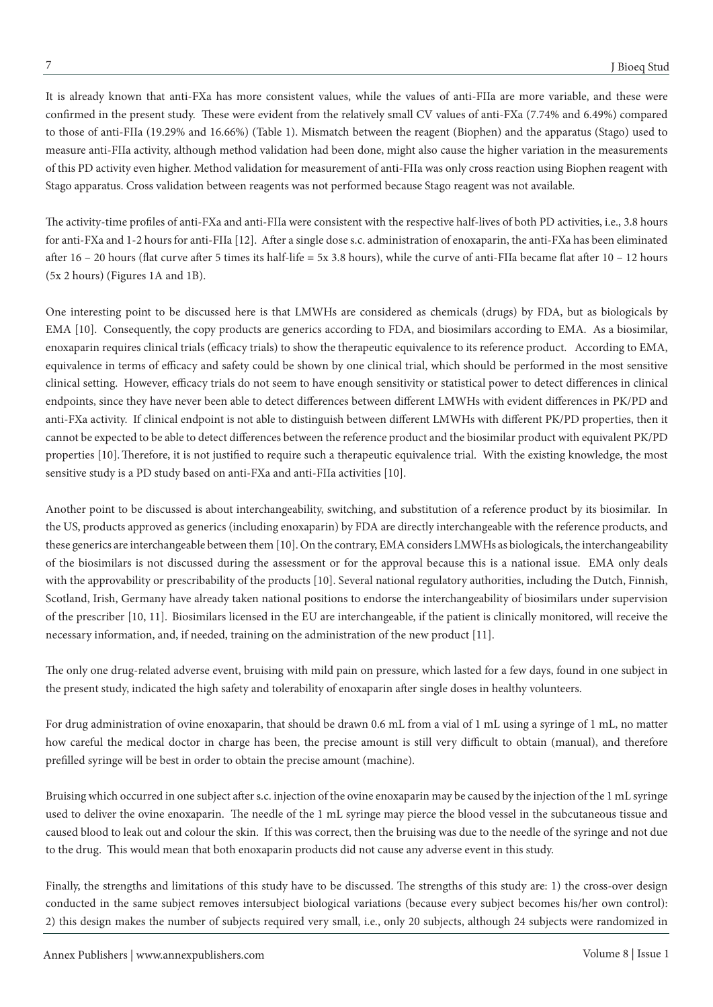It is already known that anti-FXa has more consistent values, while the values of anti-FIIa are more variable, and these were confirmed in the present study. These were evident from the relatively small CV values of anti-FXa (7.74% and 6.49%) compared to those of anti-FIIa (19.29% and 16.66%) (Table 1). Mismatch between the reagent (Biophen) and the apparatus (Stago) used to measure anti-FIIa activity, although method validation had been done, might also cause the higher variation in the measurements of this PD activity even higher. Method validation for measurement of anti-FIIa was only cross reaction using Biophen reagent with Stago apparatus. Cross validation between reagents was not performed because Stago reagent was not available.

The activity-time profiles of anti-FXa and anti-FIIa were consistent with the respective half-lives of both PD activities, i.e., 3.8 hours for anti-FXa and 1-2 hours for anti-FIIa [12]. After a single dose s.c. administration of enoxaparin, the anti-FXa has been eliminated after  $16 - 20$  hours (flat curve after 5 times its half-life = 5x 3.8 hours), while the curve of anti-FIIa became flat after  $10 - 12$  hours (5x 2 hours) (Figures 1A and 1B).

One interesting point to be discussed here is that LMWHs are considered as chemicals (drugs) by FDA, but as biologicals by EMA [10]. Consequently, the copy products are generics according to FDA, and biosimilars according to EMA. As a biosimilar, enoxaparin requires clinical trials (efficacy trials) to show the therapeutic equivalence to its reference product. According to EMA, equivalence in terms of efficacy and safety could be shown by one clinical trial, which should be performed in the most sensitive clinical setting. However, efficacy trials do not seem to have enough sensitivity or statistical power to detect differences in clinical endpoints, since they have never been able to detect differences between different LMWHs with evident differences in PK/PD and anti-FXa activity. If clinical endpoint is not able to distinguish between different LMWHs with different PK/PD properties, then it cannot be expected to be able to detect differences between the reference product and the biosimilar product with equivalent PK/PD properties [10].Therefore, it is not justified to require such a therapeutic equivalence trial. With the existing knowledge, the most sensitive study is a PD study based on anti-FXa and anti-FIIa activities [10].

Another point to be discussed is about interchangeability, switching, and substitution of a reference product by its biosimilar. In the US, products approved as generics (including enoxaparin) by FDA are directly interchangeable with the reference products, and these generics are interchangeable between them [10]. On the contrary, EMA considers LMWHs as biologicals, the interchangeability of the biosimilars is not discussed during the assessment or for the approval because this is a national issue. EMA only deals with the approvability or prescribability of the products [10]. Several national regulatory authorities, including the Dutch, Finnish, Scotland, Irish, Germany have already taken national positions to endorse the interchangeability of biosimilars under supervision of the prescriber [10, 11]. Biosimilars licensed in the EU are interchangeable, if the patient is clinically monitored, will receive the necessary information, and, if needed, training on the administration of the new product [11].

The only one drug-related adverse event, bruising with mild pain on pressure, which lasted for a few days, found in one subject in the present study, indicated the high safety and tolerability of enoxaparin after single doses in healthy volunteers.

For drug administration of ovine enoxaparin, that should be drawn 0.6 mL from a vial of 1 mL using a syringe of 1 mL, no matter how careful the medical doctor in charge has been, the precise amount is still very difficult to obtain (manual), and therefore prefilled syringe will be best in order to obtain the precise amount (machine).

Bruising which occurred in one subject after s.c. injection of the ovine enoxaparin may be caused by the injection of the 1 mL syringe used to deliver the ovine enoxaparin. The needle of the 1 mL syringe may pierce the blood vessel in the subcutaneous tissue and caused blood to leak out and colour the skin. If this was correct, then the bruising was due to the needle of the syringe and not due to the drug. This would mean that both enoxaparin products did not cause any adverse event in this study.

Finally, the strengths and limitations of this study have to be discussed. The strengths of this study are: 1) the cross-over design conducted in the same subject removes intersubject biological variations (because every subject becomes his/her own control): 2) this design makes the number of subjects required very small, i.e., only 20 subjects, although 24 subjects were randomized in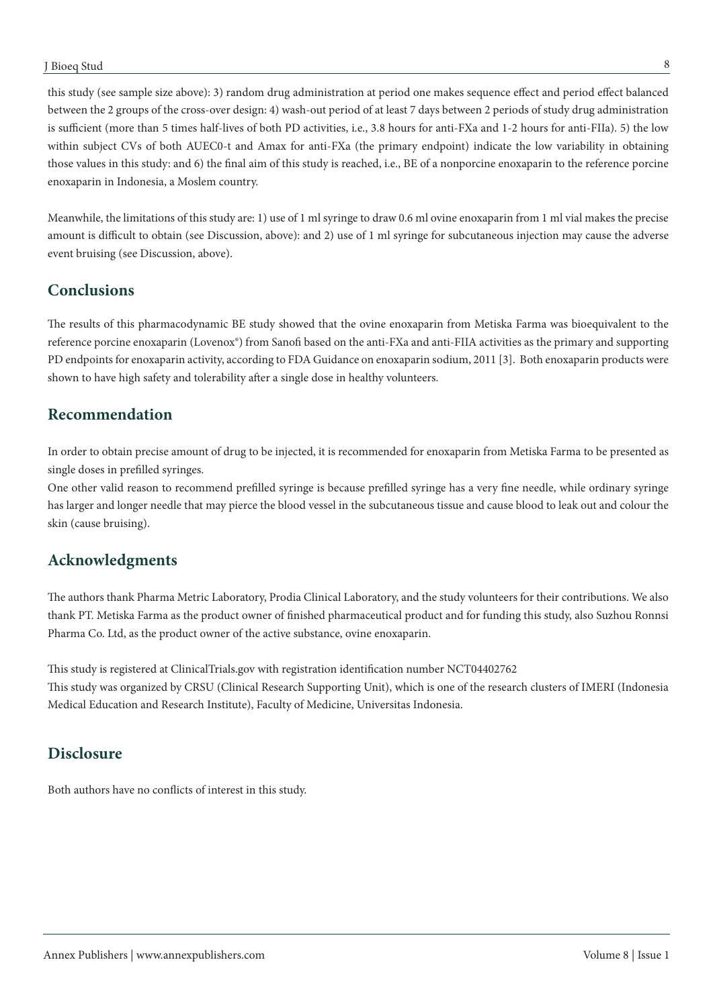this study (see sample size above): 3) random drug administration at period one makes sequence effect and period effect balanced between the 2 groups of the cross-over design: 4) wash-out period of at least 7 days between 2 periods of study drug administration is sufficient (more than 5 times half-lives of both PD activities, i.e., 3.8 hours for anti-FXa and 1-2 hours for anti-FIIa). 5) the low within subject CVs of both AUEC0-t and Amax for anti-FXa (the primary endpoint) indicate the low variability in obtaining those values in this study: and 6) the final aim of this study is reached, i.e., BE of a nonporcine enoxaparin to the reference porcine enoxaparin in Indonesia, a Moslem country.

Meanwhile, the limitations of this study are: 1) use of 1 ml syringe to draw 0.6 ml ovine enoxaparin from 1 ml vial makes the precise amount is difficult to obtain (see Discussion, above): and 2) use of 1 ml syringe for subcutaneous injection may cause the adverse event bruising (see Discussion, above).

# **Conclusions**

The results of this pharmacodynamic BE study showed that the ovine enoxaparin from Metiska Farma was bioequivalent to the reference porcine enoxaparin (Lovenox®) from Sanofi based on the anti-FXa and anti-FIIA activities as the primary and supporting PD endpoints for enoxaparin activity, according to FDA Guidance on enoxaparin sodium, 2011 [3]. Both enoxaparin products were shown to have high safety and tolerability after a single dose in healthy volunteers.

# **Recommendation**

In order to obtain precise amount of drug to be injected, it is recommended for enoxaparin from Metiska Farma to be presented as single doses in prefilled syringes.

One other valid reason to recommend prefilled syringe is because prefilled syringe has a very fine needle, while ordinary syringe has larger and longer needle that may pierce the blood vessel in the subcutaneous tissue and cause blood to leak out and colour the skin (cause bruising).

# **Acknowledgments**

The authors thank Pharma Metric Laboratory, Prodia Clinical Laboratory, and the study volunteers for their contributions. We also thank PT. Metiska Farma as the product owner of finished pharmaceutical product and for funding this study, also Suzhou Ronnsi Pharma Co. Ltd, as the product owner of the active substance, ovine enoxaparin.

This study is registered at ClinicalTrials.gov with registration identification number NCT04402762 This study was organized by CRSU (Clinical Research Supporting Unit), which is one of the research clusters of IMERI (Indonesia Medical Education and Research Institute), Faculty of Medicine, Universitas Indonesia.

# **Disclosure**

Both authors have no conflicts of interest in this study.